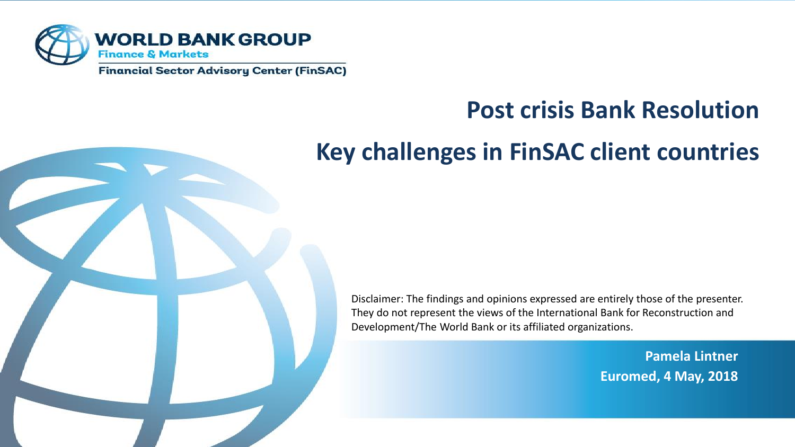

# **Post crisis Bank Resolution**

## **Key challenges in FinSAC client countries**

Disclaimer: The findings and opinions expressed are entirely those of the presenter. They do not represent the views of the International Bank for Reconstruction and Development/The World Bank or its affiliated organizations.

> **Pamela Lintner Euromed, 4 May, 2018**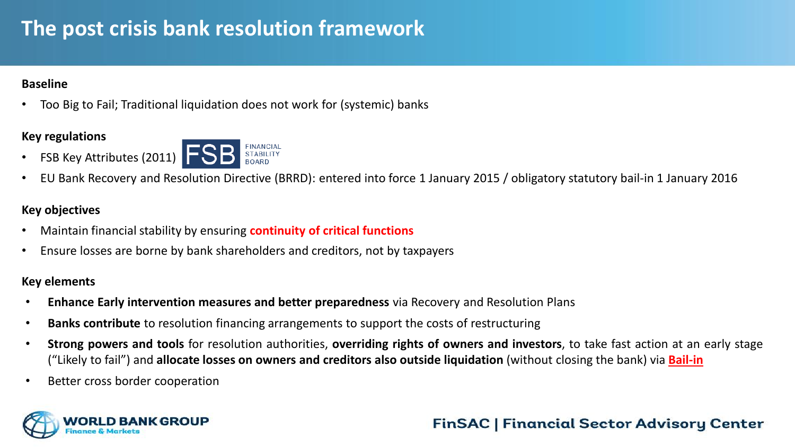## **The post crisis bank resolution framework**

#### **Baseline**

• Too Big to Fail; Traditional liquidation does not work for (systemic) banks

#### **Key regulations**



• EU Bank Recovery and Resolution Directive (BRRD): entered into force 1 January 2015 / obligatory statutory bail-in 1 January 2016

#### **Key objectives**

- Maintain financial stability by ensuring **continuity of critical functions**
- Ensure losses are borne by bank shareholders and creditors, not by taxpayers

#### **Key elements**

- **Enhance Early intervention measures and better preparedness** via Recovery and Resolution Plans
- **Banks contribute** to resolution financing arrangements to support the costs of restructuring
- **Strong powers and tools** for resolution authorities, **overriding rights of owners and investors**, to take fast action at an early stage ("Likely to fail") and **allocate losses on owners and creditors also outside liquidation** (without closing the bank) via **Bail-in**
- Better cross border cooperation

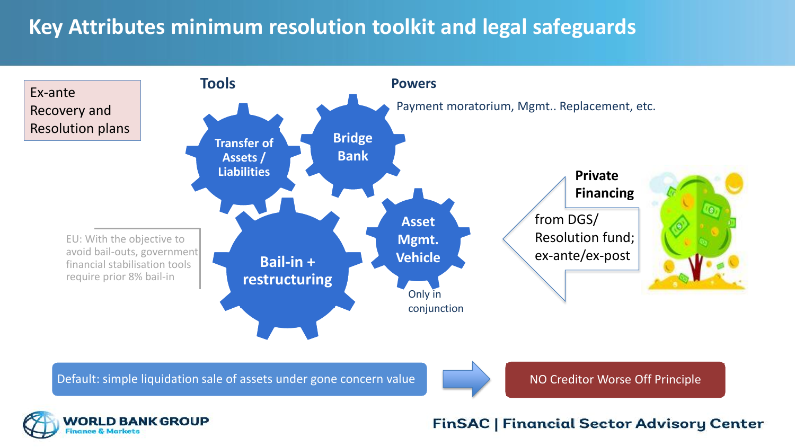## **Key Attributes minimum resolution toolkit and legal safeguards**



Default: simple liquidation sale of assets under gone concern value Notel NO Creditor Worse Off Principle



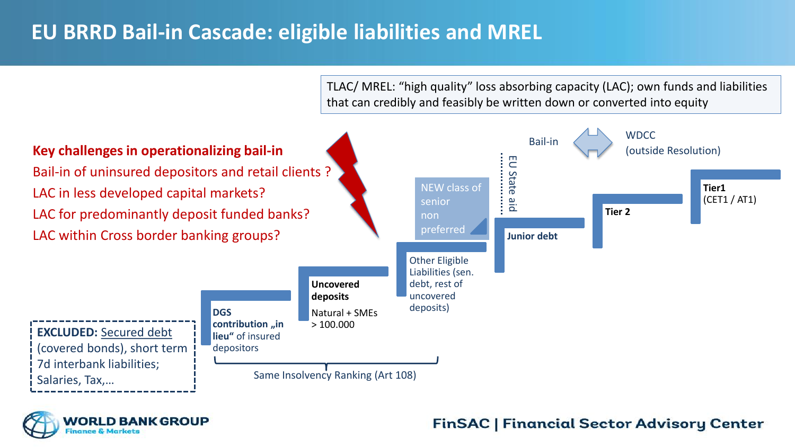## **EU BRRD Bail-in Cascade: eligible liabilities and MREL**

TLAC/ MREL: "high quality" loss absorbing capacity (LAC); own funds and liabilities that can credibly and feasibly be written down or converted into equity



**MORLD BANK GROUP**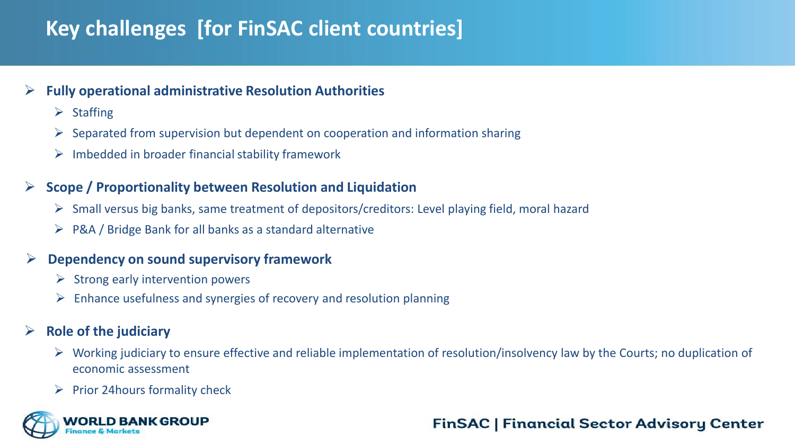## **Key challenges [for FinSAC client countries]**

#### **Fully operational administrative Resolution Authorities**

- $\triangleright$  Staffing
- $\triangleright$  Separated from supervision but dependent on cooperation and information sharing
- $\triangleright$  Imbedded in broader financial stability framework

#### **Scope / Proportionality between Resolution and Liquidation**

- $\triangleright$  Small versus big banks, same treatment of depositors/creditors: Level playing field, moral hazard
- $\triangleright$  P&A / Bridge Bank for all banks as a standard alternative

#### **Dependency on sound supervisory framework**

- $\triangleright$  Strong early intervention powers
- $\triangleright$  Enhance usefulness and synergies of recovery and resolution planning

#### **Role of the judiciary**

- $\triangleright$  Working judiciary to ensure effective and reliable implementation of resolution/insolvency law by the Courts; no duplication of economic assessment
- $\triangleright$  Prior 24 hours formality check

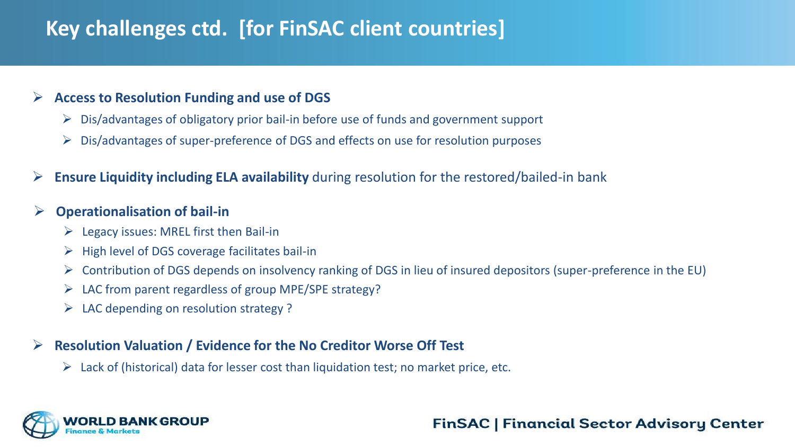## **Key challenges ctd. [for FinSAC client countries]**

#### **Access to Resolution Funding and use of DGS**

- $\triangleright$  Dis/advantages of obligatory prior bail-in before use of funds and government support
- $\triangleright$  Dis/advantages of super-preference of DGS and effects on use for resolution purposes
- **Ensure Liquidity including ELA availability** during resolution for the restored/bailed-in bank

#### **Operationalisation of bail-in**

- $\triangleright$  Legacy issues: MREL first then Bail-in
- $\triangleright$  High level of DGS coverage facilitates bail-in
- $\triangleright$  Contribution of DGS depends on insolvency ranking of DGS in lieu of insured depositors (super-preference in the EU)
- $\triangleright$  LAC from parent regardless of group MPE/SPE strategy?
- $\triangleright$  LAC depending on resolution strategy ?

#### **Resolution Valuation / Evidence for the No Creditor Worse Off Test**

 $\triangleright$  Lack of (historical) data for lesser cost than liquidation test; no market price, etc.

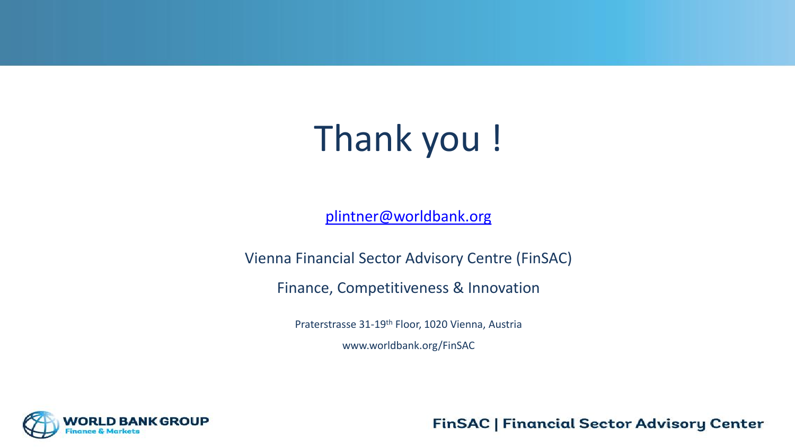# Thank you !

[plintner@worldbank.org](mailto:plintner@worldbank.org)

Vienna Financial Sector Advisory Centre (FinSAC)

Finance, Competitiveness & Innovation

Praterstrasse 31-19th Floor, 1020 Vienna, Austria

www.worldbank.org/FinSAC

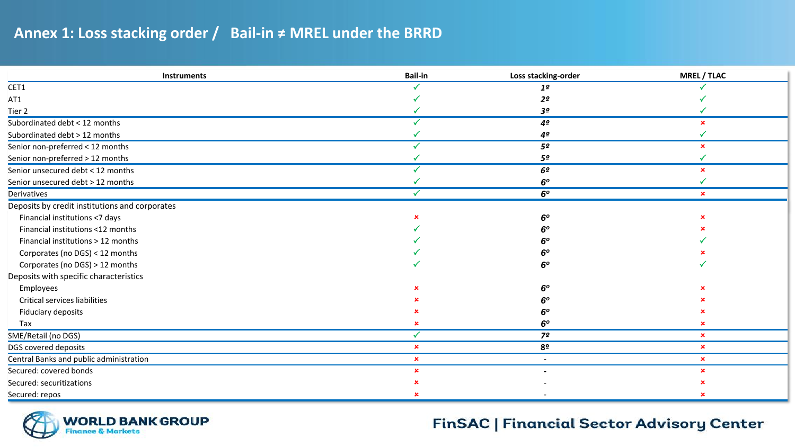#### **Annex 1: Loss stacking order / Bail-in ≠ MREL under the BRRD**

| <b>Instruments</b>                             | <b>Bail-in</b> | Loss stacking-order      | <b>MREL / TLAC</b> |
|------------------------------------------------|----------------|--------------------------|--------------------|
| CET1                                           |                | 1 <sup>o</sup>           |                    |
| AT1                                            |                | 2º                       |                    |
| Tier 2                                         |                | 3º                       |                    |
| Subordinated debt < 12 months                  |                | 4 <sup>o</sup>           | $\mathbf{x}$       |
| Subordinated debt > 12 months                  |                | 4º                       |                    |
| Senior non-preferred < 12 months               |                | 5º                       | $\mathbf x$        |
| Senior non-preferred > 12 months               |                | 5º                       |                    |
| Senior unsecured debt < 12 months              |                | 6 <sup>o</sup>           | $\mathbf{x}$       |
| Senior unsecured debt > 12 months              |                | 6 <sup>o</sup>           |                    |
| Derivatives                                    |                | 6 <sup>o</sup>           | $\mathbf{x}$       |
| Deposits by credit institutions and corporates |                |                          |                    |
| Financial institutions <7 days                 |                | 6 <sup>o</sup>           |                    |
| Financial institutions <12 months              |                | 60                       |                    |
| Financial institutions > 12 months             |                | 60                       |                    |
| Corporates (no DGS) < 12 months                |                | 6 <sup>o</sup>           |                    |
| Corporates (no DGS) > 12 months                |                | 60                       |                    |
| Deposits with specific characteristics         |                |                          |                    |
| Employees                                      |                | 60                       |                    |
| Critical services liabilities                  |                | 60                       |                    |
| Fiduciary deposits                             |                | 6 <sup>o</sup>           |                    |
| Tax                                            |                | 6 <sup>o</sup>           | $\mathbf x$        |
| SME/Retail (no DGS)                            |                | 7º                       | $\mathbf x$        |
| DGS covered deposits                           | $\mathbf x$    | 8 <sup>o</sup>           | $\pmb{\times}$     |
| Central Banks and public administration        | $\mathbf x$    | $\overline{\phantom{a}}$ | $\mathbf x$        |
| Secured: covered bonds                         | $\mathbf x$    |                          | $\mathbf x$        |
| Secured: securitizations                       |                |                          |                    |
| Secured: repos                                 |                |                          |                    |